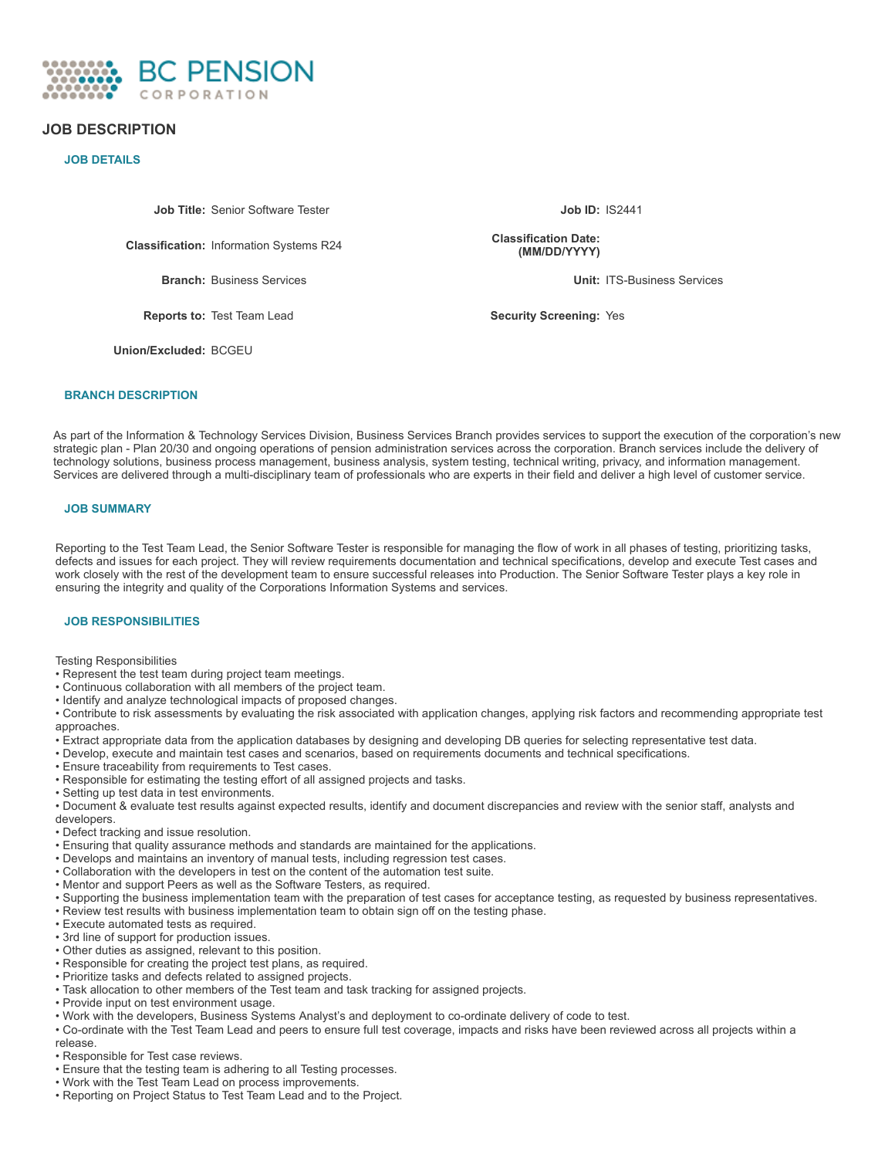

# **JOB DESCRIPTION**

**JOB DETAILS**

**Job Title:** Senior Software Tester **Job ID:** IS2441

**Classification:** Information Systems R24

**Reports to:** Test Team Lead **Security Screening:** Yes

**Classification Date: (MM/DD/YYYY)**

**Branch:** Business Services **Unit:** ITS-Business Services

**Union/Excluded:** BCGEU

### **BRANCH DESCRIPTION**

As part of the Information & Technology Services Division, Business Services Branch provides services to support the execution of the corporation's new strategic plan - Plan 20/30 and ongoing operations of pension administration services across the corporation. Branch services include the delivery of technology solutions, business process management, business analysis, system testing, technical writing, privacy, and information management. Services are delivered through a multi-disciplinary team of professionals who are experts in their field and deliver a high level of customer service.

### **JOB SUMMARY**

Reporting to the Test Team Lead, the Senior Software Tester is responsible for managing the flow of work in all phases of testing, prioritizing tasks, defects and issues for each project. They will review requirements documentation and technical specifications, develop and execute Test cases and work closely with the rest of the development team to ensure successful releases into Production. The Senior Software Tester plays a key role in ensuring the integrity and quality of the Corporations Information Systems and services.

### **JOB RESPONSIBILITIES**

Testing Responsibilities

- Represent the test team during project team meetings.
- Continuous collaboration with all members of the project team.
- Identify and analyze technological impacts of proposed changes.

• Contribute to risk assessments by evaluating the risk associated with application changes, applying risk factors and recommending appropriate test approaches.

- Extract appropriate data from the application databases by designing and developing DB queries for selecting representative test data.
- Develop, execute and maintain test cases and scenarios, based on requirements documents and technical specifications.
- Ensure traceability from requirements to Test cases.
- Responsible for estimating the testing effort of all assigned projects and tasks.
- Setting up test data in test environments.

• Document & evaluate test results against expected results, identify and document discrepancies and review with the senior staff, analysts and developers.

- Defect tracking and issue resolution.
- Ensuring that quality assurance methods and standards are maintained for the applications.
- Develops and maintains an inventory of manual tests, including regression test cases.
- Collaboration with the developers in test on the content of the automation test suite.
- Mentor and support Peers as well as the Software Testers, as required.
- Supporting the business implementation team with the preparation of test cases for acceptance testing, as requested by business representatives.
- Review test results with business implementation team to obtain sign off on the testing phase.
- Execute automated tests as required.
- 3rd line of support for production issues.
- Other duties as assigned, relevant to this position.
- Responsible for creating the project test plans, as required.
- Prioritize tasks and defects related to assigned projects.
- Task allocation to other members of the Test team and task tracking for assigned projects.
- Provide input on test environment usage.
- Work with the developers, Business Systems Analyst's and deployment to co-ordinate delivery of code to test.
- Co-ordinate with the Test Team Lead and peers to ensure full test coverage, impacts and risks have been reviewed across all projects within a

release.

- Responsible for Test case reviews.
- Ensure that the testing team is adhering to all Testing processes.
- Work with the Test Team Lead on process improvements.
- Reporting on Project Status to Test Team Lead and to the Project.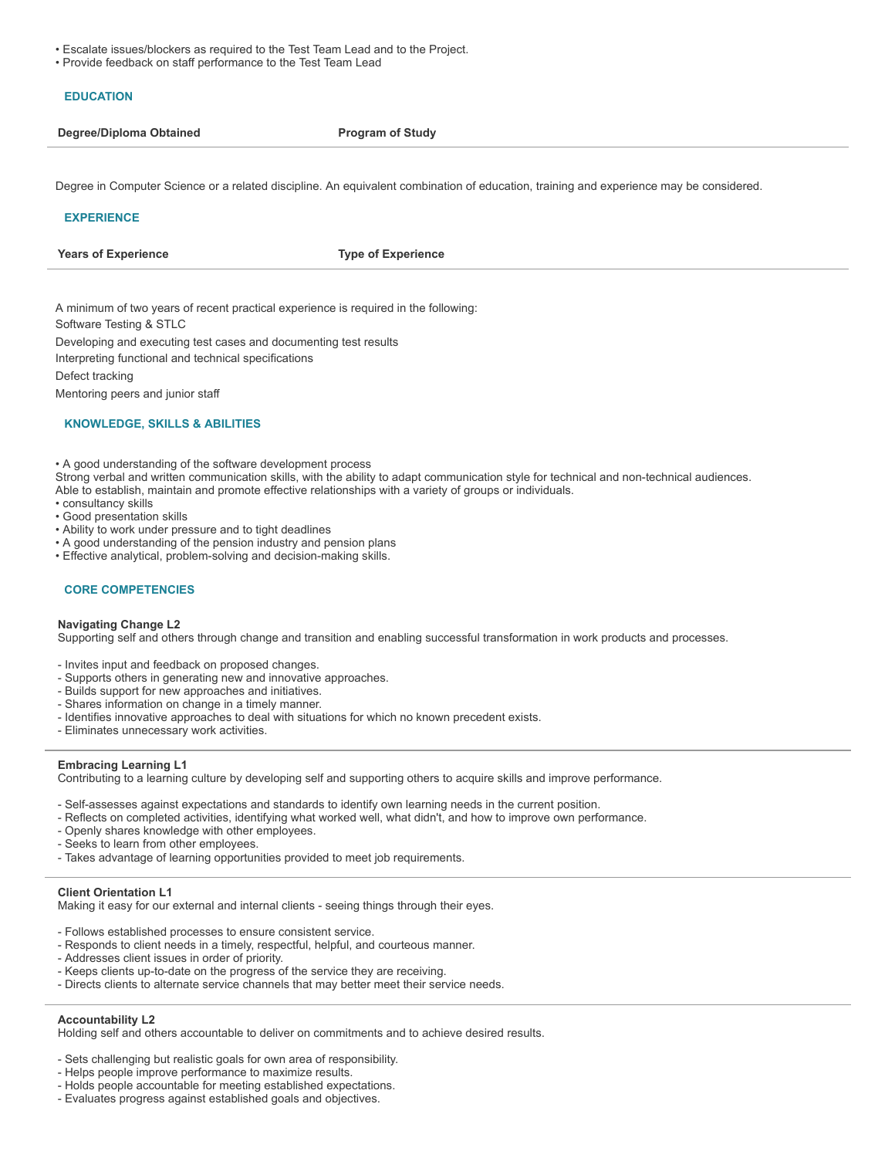- Escalate issues/blockers as required to the Test Team Lead and to the Project.
- Provide feedback on staff performance to the Test Team Lead

## **EDUCATION**

|  | Degree/Diploma Obtained |
|--|-------------------------|
|  |                         |

**Program** of Study

Degree in Computer Science or a related discipline. An equivalent combination of education, training and experience may be considered.

### **EXPERIENCE**

**Years of Experience Type of Experience**

A minimum of two years of recent practical experience is required in the following:

Software Testing & STLC

Developing and executing test cases and documenting test results

Interpreting functional and technical specifications

Defect tracking

Mentoring peers and junior staff

## **KNOWLEDGE, SKILLS & ABILITIES**

• A good understanding of the software development process

Strong verbal and written communication skills, with the ability to adapt communication style for technical and non-technical audiences.

- Able to establish, maintain and promote effective relationships with a variety of groups or individuals.
- consultancy skills
- Good presentation skills
- Ability to work under pressure and to tight deadlines
- A good understanding of the pension industry and pension plans
- Effective analytical, problem-solving and decision-making skills.

### **CORE COMPETENCIES**

### **Navigating Change L2**

Supporting self and others through change and transition and enabling successful transformation in work products and processes.

- Invites input and feedback on proposed changes.
- Supports others in generating new and innovative approaches.
- Builds support for new approaches and initiatives.
- Shares information on change in a timely manner.
- Identifies innovative approaches to deal with situations for which no known precedent exists.
- Eliminates unnecessary work activities.

### **Embracing Learning L1**

Contributing to a learning culture by developing self and supporting others to acquire skills and improve performance.

- Self-assesses against expectations and standards to identify own learning needs in the current position.
- Reflects on completed activities, identifying what worked well, what didn't, and how to improve own performance.
- Openly shares knowledge with other employees.
- Seeks to learn from other employees.
- Takes advantage of learning opportunities provided to meet job requirements.

### **Client Orientation L1**

Making it easy for our external and internal clients - seeing things through their eyes.

- Follows established processes to ensure consistent service.
- Responds to client needs in a timely, respectful, helpful, and courteous manner.
- Addresses client issues in order of priority.
- Keeps clients up-to-date on the progress of the service they are receiving.
- Directs clients to alternate service channels that may better meet their service needs.

## **Accountability L2**

Holding self and others accountable to deliver on commitments and to achieve desired results.

- Sets challenging but realistic goals for own area of responsibility.
- Helps people improve performance to maximize results.
- Holds people accountable for meeting established expectations.
- Evaluates progress against established goals and objectives.